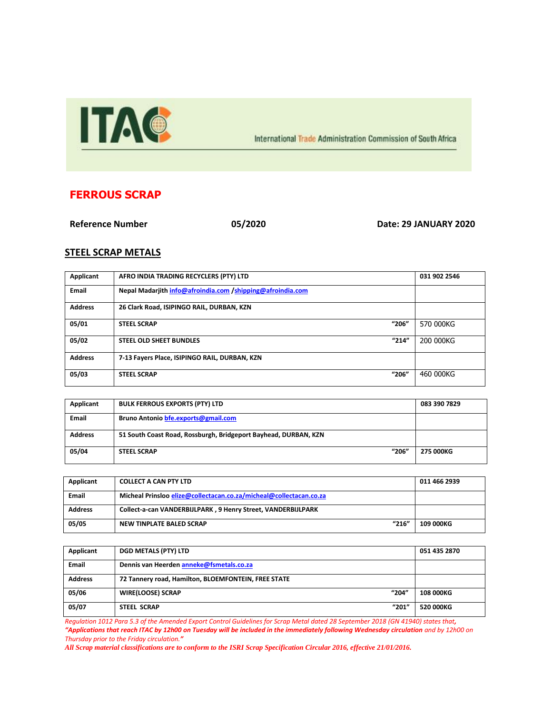

International Trade Administration Commission of South Africa

## **FERROUS SCRAP**

**Reference Number 05/2020 Date: 29 JANUARY 2020**

## **STEEL SCRAP METALS**

| Applicant      | AFRO INDIA TRADING RECYCLERS (PTY) LTD                     | 031 902 2546 |
|----------------|------------------------------------------------------------|--------------|
| Email          | Nepal Madarjith info@afroindia.com /shipping@afroindia.com |              |
| <b>Address</b> | 26 Clark Road, ISIPINGO RAIL, DURBAN, KZN                  |              |
| 05/01          | "206"<br><b>STEEL SCRAP</b>                                | 570 000KG    |
| 05/02          | "214"<br><b>STEEL OLD SHEET BUNDLES</b>                    | 200 000KG    |
| <b>Address</b> | 7-13 Fayers Place, ISIPINGO RAIL, DURBAN, KZN              |              |
| 05/03          | "206"<br><b>STEEL SCRAP</b>                                | 460 000KG    |

| Applicant      | <b>BULK FERROUS EXPORTS (PTY) LTD</b>                           | 083 390 7829 |
|----------------|-----------------------------------------------------------------|--------------|
| <b>Email</b>   | Bruno Antonio bfe.exports@gmail.com                             |              |
| <b>Address</b> | 51 South Coast Road, Rossburgh, Bridgeport Bayhead, DURBAN, KZN |              |
| 05/04          | "206"<br><b>STEEL SCRAP</b>                                     | 275 000KG    |

| Applicant      | <b>COLLECT A CAN PTY LTD</b>                                       | 011 466 2939 |
|----------------|--------------------------------------------------------------------|--------------|
|                |                                                                    |              |
| Email          | Micheal Prinsloo elize@collectacan.co.za/micheal@collectacan.co.za |              |
|                |                                                                    |              |
| <b>Address</b> | Collect-a-can VANDERBIJLPARK, 9 Henry Street, VANDERBIJLPARK       |              |
|                |                                                                    |              |
| 05/05          | "216"<br>NEW TINPLATE BALED SCRAP                                  | 109 000KG    |
|                |                                                                    |              |
|                |                                                                    |              |

| Applicant      | <b>DGD METALS (PTY) LTD</b>                         | 051 435 2870 |
|----------------|-----------------------------------------------------|--------------|
| <b>Email</b>   | Dennis van Heerden anneke@fsmetals.co.za            |              |
| <b>Address</b> | 72 Tannery road, Hamilton, BLOEMFONTEIN, FREE STATE |              |
| 05/06          | "204"<br><b>WIRE(LOOSE) SCRAP</b>                   | 108 000KG    |
| 05/07          | "201"<br><b>STEEL SCRAP</b>                         | 520 000KG    |

*Regulation 1012 Para 5.3 of the Amended Export Control Guidelines for Scrap Metal dated 28 September 2018 (GN 41940) states that,* 

*"Applications that reach ITAC by 12h00 on Tuesday will be included in the immediately following Wednesday circulation and by 12h00 on Thursday prior to the Friday circulation."*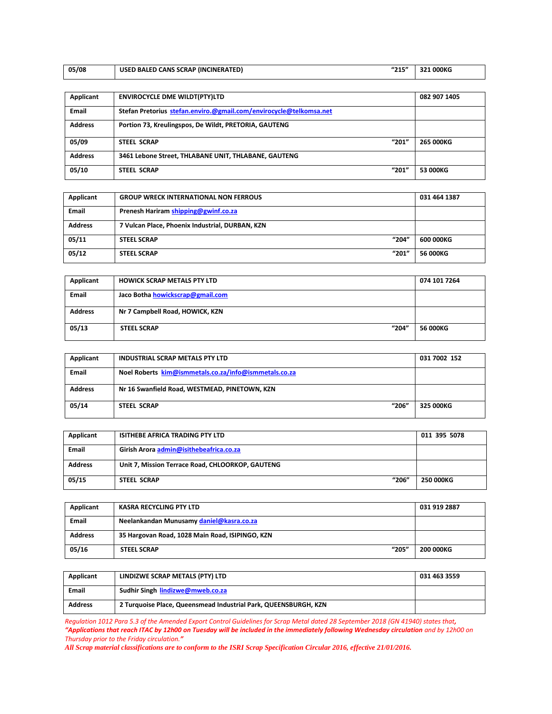| 05/08 | "215"<br>USED BALED CANS SCRAP (INCINERATED) | 321 000KG |
|-------|----------------------------------------------|-----------|
|       |                                              |           |

| Applicant      | <b>ENVIROCYCLE DME WILDT(PTY)LTD</b>                               | 082 907 1405 |
|----------------|--------------------------------------------------------------------|--------------|
| <b>Email</b>   | Stefan Pretorius stefan.enviro.@gmail.com/envirocycle@telkomsa.net |              |
| <b>Address</b> | Portion 73, Kreulingspos, De Wildt, PRETORIA, GAUTENG              |              |
| 05/09          | "201"<br><b>STEEL SCRAP</b>                                        | 265 000KG    |
| <b>Address</b> | 3461 Lebone Street, THLABANE UNIT, THLABANE, GAUTENG               |              |
| 05/10          | "201"<br><b>STEEL SCRAP</b>                                        | 53 000KG     |

| Applicant      | <b>GROUP WRECK INTERNATIONAL NON FERROUS</b>    | 031 464 1387 |
|----------------|-------------------------------------------------|--------------|
| <b>Email</b>   | Prenesh Hariram shipping@gwinf.co.za            |              |
| <b>Address</b> | 7 Vulcan Place, Phoenix Industrial, DURBAN, KZN |              |
| 05/11          | "204"<br><b>STEEL SCRAP</b>                     | 600 000KG    |
| 05/12          | "201"<br><b>STEEL SCRAP</b>                     | 56 000KG     |

| Applicant      | <b>HOWICK SCRAP METALS PTY LTD</b> | 074 101 7264 |
|----------------|------------------------------------|--------------|
| <b>Email</b>   | Jaco Botha howickscrap@gmail.com   |              |
| <b>Address</b> | Nr 7 Campbell Road, HOWICK, KZN    |              |
| 05/13          | "204"<br><b>STEEL SCRAP</b>        | 56 000KG     |

| Applicant      | <b>INDUSTRIAL SCRAP METALS PTY LTD</b>                | 031 7002 152 |
|----------------|-------------------------------------------------------|--------------|
| <b>Email</b>   | Noel Roberts kim@ismmetals.co.za/info@ismmetals.co.za |              |
| <b>Address</b> | Nr 16 Swanfield Road, WESTMEAD, PINETOWN, KZN         |              |
| 05/14          | "206"<br><b>STEEL SCRAP</b>                           | 325 000KG    |

| Applicant      | <b>ISITHEBE AFRICA TRADING PTY LTD</b>           | 011 395 5078 |
|----------------|--------------------------------------------------|--------------|
| <b>Email</b>   | Girish Arora admin@isithebeafrica.co.za          |              |
| <b>Address</b> | Unit 7, Mission Terrace Road, CHLOORKOP, GAUTENG |              |
| 05/15          | "206"<br>STEEL SCRAP                             | 250 000KG    |

| Applicant      | <b>KASRA RECYCLING PTY LTD</b>                  | 031 919 2887 |
|----------------|-------------------------------------------------|--------------|
| <b>Email</b>   | Neelankandan Munusamy daniel@kasra.co.za        |              |
| <b>Address</b> | 35 Hargovan Road, 1028 Main Road, ISIPINGO, KZN |              |
| 05/16          | "205"<br><b>STEEL SCRAP</b>                     | 200 000KG    |

| Applicant      | LINDIZWE SCRAP METALS (PTY) LTD                                 | 031 463 3559 |
|----------------|-----------------------------------------------------------------|--------------|
| Email          | Sudhir Singh lindizwe@mweb.co.za                                |              |
| <b>Address</b> | 2 Turquoise Place, Queensmead Industrial Park, QUEENSBURGH, KZN |              |

*Regulation 1012 Para 5.3 of the Amended Export Control Guidelines for Scrap Metal dated 28 September 2018 (GN 41940) states that,* 

*"Applications that reach ITAC by 12h00 on Tuesday will be included in the immediately following Wednesday circulation and by 12h00 on Thursday prior to the Friday circulation."*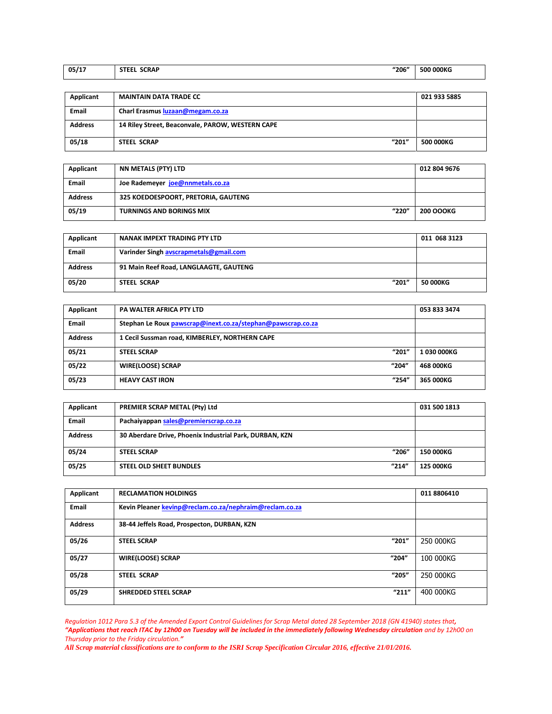| 05/17 | "206"<br><b>SCRAP</b><br><b>STEEL</b><br>___ | 500 000KG<br>. |
|-------|----------------------------------------------|----------------|
|       |                                              |                |

| Applicant      | <b>MAINTAIN DATA TRADE CC</b>                    | 021 933 5885 |
|----------------|--------------------------------------------------|--------------|
|                |                                                  |              |
| <b>Email</b>   | Charl Erasmus luzaan@megam.co.za                 |              |
| <b>Address</b> | 14 Riley Street, Beaconvale, PAROW, WESTERN CAPE |              |
| 05/18          | "201"<br>STEEL SCRAP                             | 500 000KG    |

| Applicant      | NN METALS (PTY) LTD                      | 012 804 9676     |
|----------------|------------------------------------------|------------------|
| <b>Email</b>   | Joe Rademeyer joe@nnmetals.co.za         |                  |
| <b>Address</b> | 325 KOEDOESPOORT, PRETORIA, GAUTENG      |                  |
| 05/19          | "220"<br><b>TURNINGS AND BORINGS MIX</b> | <b>200 OOOKG</b> |

| Applicant      | NANAK IMPEXT TRADING PTY LTD           | 011 068 3123    |
|----------------|----------------------------------------|-----------------|
| <b>Email</b>   | Varinder Singh avscrapmetals@gmail.com |                 |
| <b>Address</b> | 91 Main Reef Road, LANGLAAGTE, GAUTENG |                 |
| 05/20          | "201"<br><b>STEEL SCRAP</b>            | <b>50 000KG</b> |

| Applicant      | <b>PA WALTER AFRICA PTY LTD</b>                             | 053 833 3474 |
|----------------|-------------------------------------------------------------|--------------|
| <b>Email</b>   | Stephan Le Roux pawscrap@inext.co.za/stephan@pawscrap.co.za |              |
| <b>Address</b> | 1 Cecil Sussman road, KIMBERLEY, NORTHERN CAPE              |              |
| 05/21          | "201"<br><b>STEEL SCRAP</b>                                 | 1030 000KG   |
| 05/22          | "204"<br><b>WIRE(LOOSE) SCRAP</b>                           | 468 000KG    |
| 05/23          | "254"<br><b>HEAVY CAST IRON</b>                             | 365 000KG    |

| Applicant      | PREMIER SCRAP METAL (Pty) Ltd                           | 031 500 1813 |
|----------------|---------------------------------------------------------|--------------|
| <b>Email</b>   | Pachaiyappan sales@premierscrap.co.za                   |              |
| <b>Address</b> | 30 Aberdare Drive, Phoenix Industrial Park, DURBAN, KZN |              |
| 05/24          | "206"<br><b>STEEL SCRAP</b>                             | 150 000KG    |
| 05/25          | "214"<br>STEEL OLD SHEET BUNDLES                        | 125 000KG    |

| Applicant      | <b>RECLAMATION HOLDINGS</b>                             |       | 011 8806410 |
|----------------|---------------------------------------------------------|-------|-------------|
| <b>Email</b>   | Kevin Pleaner kevinp@reclam.co.za/nephraim@reclam.co.za |       |             |
| <b>Address</b> | 38-44 Jeffels Road, Prospecton, DURBAN, KZN             |       |             |
| 05/26          | "201"<br><b>STEEL SCRAP</b>                             |       | 250 000KG   |
| 05/27          | <b>WIRE(LOOSE) SCRAP</b><br>"204"                       |       | 100 000KG   |
| 05/28          | <b>STEEL SCRAP</b>                                      | "205" | 250 000KG   |
| 05/29          | <b>SHREDDED STEEL SCRAP</b>                             | "211" | 400 000KG   |

*Regulation 1012 Para 5.3 of the Amended Export Control Guidelines for Scrap Metal dated 28 September 2018 (GN 41940) states that, "Applications that reach ITAC by 12h00 on Tuesday will be included in the immediately following Wednesday circulation and by 12h00 on Thursday prior to the Friday circulation."*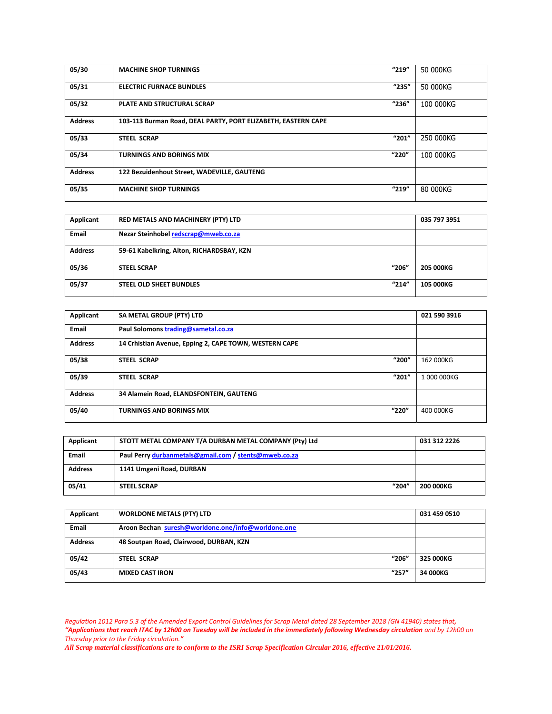| 05/30          | <b>MACHINE SHOP TURNINGS</b>                                  | "219" | 50 000KG  |
|----------------|---------------------------------------------------------------|-------|-----------|
| 05/31          | <b>ELECTRIC FURNACE BUNDLES</b>                               | "235" | 50 000KG  |
| 05/32          | <b>PLATE AND STRUCTURAL SCRAP</b>                             | "236" | 100 000KG |
| <b>Address</b> | 103-113 Burman Road, DEAL PARTY, PORT ELIZABETH, EASTERN CAPE |       |           |
| 05/33          | <b>STEEL SCRAP</b>                                            | "201" | 250 000KG |
| 05/34          | <b>TURNINGS AND BORINGS MIX</b>                               | "220" | 100 000KG |
| <b>Address</b> | 122 Bezuidenhout Street, WADEVILLE, GAUTENG                   |       |           |
| 05/35          | <b>MACHINE SHOP TURNINGS</b>                                  | "219" | 80 000KG  |

| Applicant      | RED METALS AND MACHINERY (PTY) LTD        | 035 797 3951     |
|----------------|-------------------------------------------|------------------|
| Email          | Nezar Steinhobel redscrap@mweb.co.za      |                  |
| <b>Address</b> | 59-61 Kabelkring, Alton, RICHARDSBAY, KZN |                  |
| 05/36          | "206"<br><b>STEEL SCRAP</b>               | <b>205 000KG</b> |
| 05/37          | "214"<br>STEEL OLD SHEET BUNDLES          | <b>105 000KG</b> |

| Applicant      | SA METAL GROUP (PTY) LTD                               | 021 590 3916 |
|----------------|--------------------------------------------------------|--------------|
| Email          | Paul Solomons trading@sametal.co.za                    |              |
| <b>Address</b> | 14 Crhistian Avenue, Epping 2, CAPE TOWN, WESTERN CAPE |              |
| 05/38          | "200"<br><b>STEEL SCRAP</b>                            | 162 000KG    |
| 05/39          | "201"<br><b>STEEL SCRAP</b>                            | 1 000 000KG  |
| <b>Address</b> | 34 Alamein Road, ELANDSFONTEIN, GAUTENG                |              |
| 05/40          | "220"<br><b>TURNINGS AND BORINGS MIX</b>               | 400 000KG    |

| Applicant      | STOTT METAL COMPANY T/A DURBAN METAL COMPANY (Pty) Ltd | 031 312 2226 |
|----------------|--------------------------------------------------------|--------------|
| <b>Email</b>   | Paul Perry durbanmetals@gmail.com / stents@mweb.co.za  |              |
| <b>Address</b> | 1141 Umgeni Road, DURBAN                               |              |
| 05/41          | "204"<br><b>STEEL SCRAP</b>                            | 200 000KG    |

| Applicant      | <b>WORLDONE METALS (PTY) LTD</b>                   | 031 459 0510 |
|----------------|----------------------------------------------------|--------------|
| <b>Email</b>   | Aroon Bechan suresh@worldone.one/info@worldone.one |              |
| <b>Address</b> | 48 Soutpan Road, Clairwood, DURBAN, KZN            |              |
| 05/42          | "206"<br>STEEL SCRAP                               | 325 000KG    |
| 05/43          | "257"<br><b>MIXED CAST IRON</b>                    | 34 000KG     |

*Regulation 1012 Para 5.3 of the Amended Export Control Guidelines for Scrap Metal dated 28 September 2018 (GN 41940) states that, "Applications that reach ITAC by 12h00 on Tuesday will be included in the immediately following Wednesday circulation and by 12h00 on Thursday prior to the Friday circulation."*